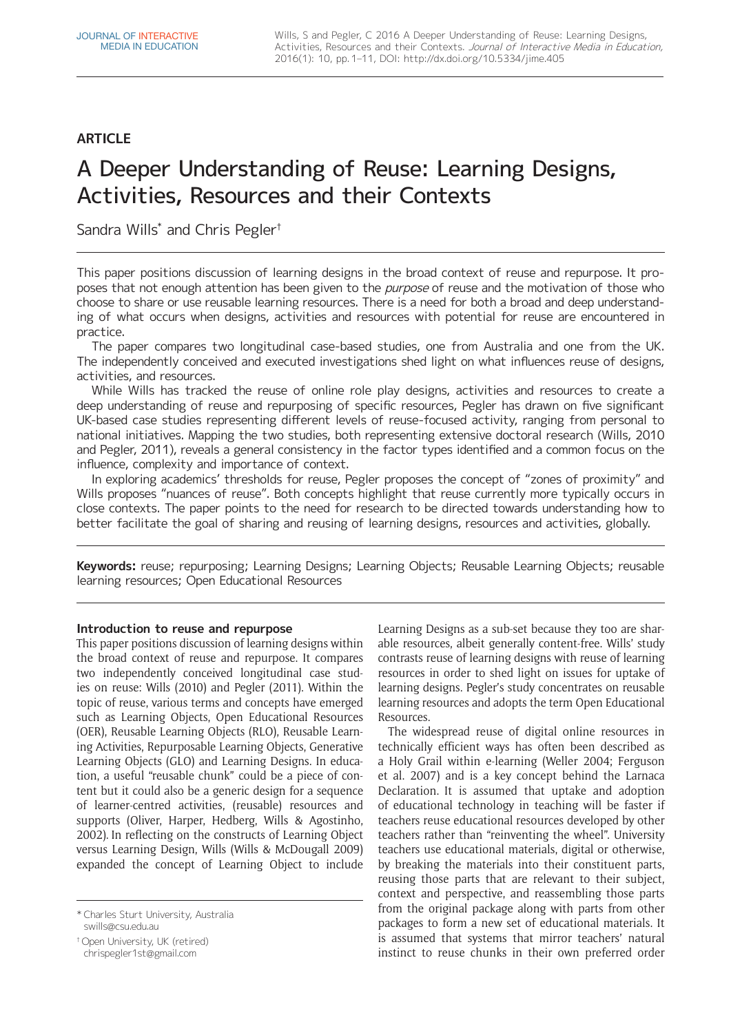# **ARTICLE**

# A Deeper Understanding of Reuse: Learning Designs, Activities, Resources and their Contexts

Sandra Wills<sup>\*</sup> and Chris Pegler<sup>†</sup>

This paper positions discussion of learning designs in the broad context of reuse and repurpose. It proposes that not enough attention has been given to the *purpose* of reuse and the motivation of those who choose to share or use reusable learning resources. There is a need for both a broad and deep understanding of what occurs when designs, activities and resources with potential for reuse are encountered in practice.

The paper compares two longitudinal case-based studies, one from Australia and one from the UK. The independently conceived and executed investigations shed light on what influences reuse of designs, activities, and resources.

While Wills has tracked the reuse of online role play designs, activities and resources to create a deep understanding of reuse and repurposing of specific resources, Pegler has drawn on five significant UK-based case studies representing different levels of reuse-focused activity, ranging from personal to national initiatives. Mapping the two studies, both representing extensive doctoral research (Wills, 2010 and Pegler, 2011), reveals a general consistency in the factor types identified and a common focus on the influence, complexity and importance of context.

In exploring academics' thresholds for reuse, Pegler proposes the concept of "zones of proximity" and Wills proposes "nuances of reuse". Both concepts highlight that reuse currently more typically occurs in close contexts. The paper points to the need for research to be directed towards understanding how to better facilitate the goal of sharing and reusing of learning designs, resources and activities, globally.

**Keywords:** reuse; repurposing; Learning Designs; Learning Objects; Reusable Learning Objects; reusable learning resources; Open Educational Resources

# **Introduction to reuse and repurpose**

This paper positions discussion of learning designs within the broad context of reuse and repurpose. It compares two independently conceived longitudinal case studies on reuse: Wills (2010) and Pegler (2011). Within the topic of reuse, various terms and concepts have emerged such as Learning Objects, Open Educational Resources (OER), Reusable Learning Objects (RLO), Reusable Learning Activities, Repurposable Learning Objects, Generative Learning Objects (GLO) and Learning Designs. In education, a useful "reusable chunk" could be a piece of content but it could also be a generic design for a sequence of learner-centred activities, (reusable) resources and supports (Oliver, Harper, Hedberg, Wills & Agostinho, 2002). In reflecting on the constructs of Learning Object versus Learning Design, Wills (Wills & McDougall 2009) expanded the concept of Learning Object to include

\* Charles Sturt University, Australia [swills@csu.edu.au](mailto:swills@csu.edu.au)

† Open University, UK (retired)

[chrispegler1st@gmail.com](mailto:chrispegler1st@gmail.com)

Learning Designs as a sub-set because they too are sharable resources, albeit generally content-free. Wills' study contrasts reuse of learning designs with reuse of learning resources in order to shed light on issues for uptake of learning designs. Pegler's study concentrates on reusable learning resources and adopts the term Open Educational Resources.

The widespread reuse of digital online resources in technically efficient ways has often been described as a Holy Grail within e-learning (Weller 2004; Ferguson et al. 2007) and is a key concept behind the Larnaca Declaration. It is assumed that uptake and adoption of educational technology in teaching will be faster if teachers reuse educational resources developed by other teachers rather than "reinventing the wheel". University teachers use educational materials, digital or otherwise, by breaking the materials into their constituent parts, reusing those parts that are relevant to their subject, context and perspective, and reassembling those parts from the original package along with parts from other packages to form a new set of educational materials. It is assumed that systems that mirror teachers' natural instinct to reuse chunks in their own preferred order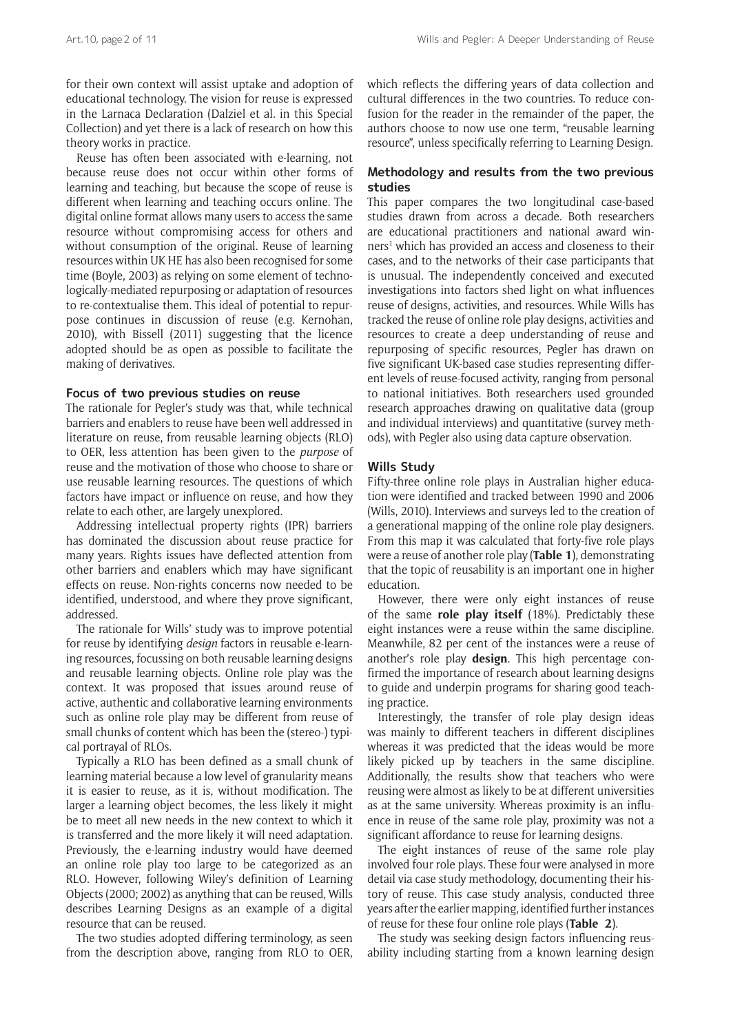for their own context will assist uptake and adoption of educational technology. The vision for reuse is expressed in the Larnaca Declaration (Dalziel et al. in this Special Collection) and yet there is a lack of research on how this theory works in practice.

Reuse has often been associated with e-learning, not because reuse does not occur within other forms of learning and teaching, but because the scope of reuse is different when learning and teaching occurs online. The digital online format allows many users to access the same resource without compromising access for others and without consumption of the original. Reuse of learning resources within UK HE has also been recognised for some time (Boyle, 2003) as relying on some element of technologically-mediated repurposing or adaptation of resources to re-contextualise them. This ideal of potential to repurpose continues in discussion of reuse (e.g. Kernohan, 2010), with Bissell (2011) suggesting that the licence adopted should be as open as possible to facilitate the making of derivatives.

#### **Focus of two previous studies on reuse**

The rationale for Pegler's study was that, while technical barriers and enablers to reuse have been well addressed in literature on reuse, from reusable learning objects (RLO) to OER, less attention has been given to the *purpose* of reuse and the motivation of those who choose to share or use reusable learning resources. The questions of which factors have impact or influence on reuse, and how they relate to each other, are largely unexplored.

Addressing intellectual property rights (IPR) barriers has dominated the discussion about reuse practice for many years. Rights issues have deflected attention from other barriers and enablers which may have significant effects on reuse. Non-rights concerns now needed to be identified, understood, and where they prove significant, addressed.

The rationale for Wills' study was to improve potential for reuse by identifying *design* factors in reusable e-learning resources, focussing on both reusable learning designs and reusable learning objects. Online role play was the context. It was proposed that issues around reuse of active, authentic and collaborative learning environments such as online role play may be different from reuse of small chunks of content which has been the (stereo-) typical portrayal of RLOs.

Typically a RLO has been defined as a small chunk of learning material because a low level of granularity means it is easier to reuse, as it is, without modification. The larger a learning object becomes, the less likely it might be to meet all new needs in the new context to which it is transferred and the more likely it will need adaptation. Previously, the e-learning industry would have deemed an online role play too large to be categorized as an RLO. However, following Wiley's definition of Learning Objects (2000; 2002) as anything that can be reused, Wills describes Learning Designs as an example of a digital resource that can be reused.

The two studies adopted differing terminology, as seen from the description above, ranging from RLO to OER, which reflects the differing years of data collection and cultural differences in the two countries. To reduce confusion for the reader in the remainder of the paper, the authors choose to now use one term, "reusable learning resource", unless specifically referring to Learning Design.

# **Methodology and results from the two previous studies**

This paper compares the two longitudinal case-based studies drawn from across a decade. Both researchers are educational practitioners and national award winners<sup>1</sup> which has provided an access and closeness to their cases, and to the networks of their case participants that is unusual. The independently conceived and executed investigations into factors shed light on what influences reuse of designs, activities, and resources. While Wills has tracked the reuse of online role play designs, activities and resources to create a deep understanding of reuse and repurposing of specific resources, Pegler has drawn on five significant UK-based case studies representing different levels of reuse-focused activity, ranging from personal to national initiatives. Both researchers used grounded research approaches drawing on qualitative data (group and individual interviews) and quantitative (survey methods), with Pegler also using data capture observation.

### **Wills Study**

Fifty-three online role plays in Australian higher education were identified and tracked between 1990 and 2006 (Wills, 2010). Interviews and surveys led to the creation of a generational mapping of the online role play designers. From this map it was calculated that forty-five role plays were a reuse of another role play (**Table 1**), demonstrating that the topic of reusability is an important one in higher education.

However, there were only eight instances of reuse of the same **role play itself** (18%). Predictably these eight instances were a reuse within the same discipline. Meanwhile, 82 per cent of the instances were a reuse of another's role play **design**. This high percentage confirmed the importance of research about learning designs to guide and underpin programs for sharing good teaching practice.

Interestingly, the transfer of role play design ideas was mainly to different teachers in different disciplines whereas it was predicted that the ideas would be more likely picked up by teachers in the same discipline. Additionally, the results show that teachers who were reusing were almost as likely to be at different universities as at the same university. Whereas proximity is an influence in reuse of the same role play, proximity was not a significant affordance to reuse for learning designs.

The eight instances of reuse of the same role play involved four role plays. These four were analysed in more detail via case study methodology, documenting their history of reuse. This case study analysis, conducted three years after the earlier mapping, identified further instances of reuse for these four online role plays (**Table 2**).

The study was seeking design factors influencing reusability including starting from a known learning design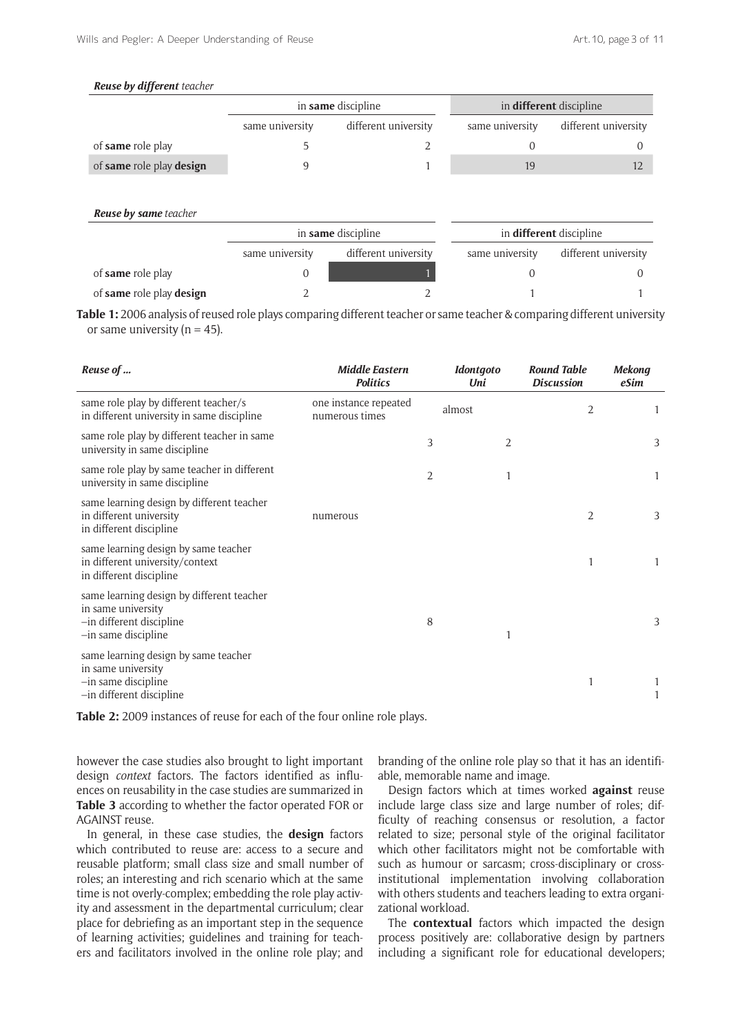### *Reuse by different teacher*

|                          |                 | in <b>same</b> discipline | in <b>different</b> discipline |                      |  |
|--------------------------|-----------------|---------------------------|--------------------------------|----------------------|--|
|                          | same university | different university      | same university                | different university |  |
| of <b>same</b> role play |                 |                           |                                |                      |  |
| of same role play design |                 |                           | 19                             |                      |  |

| <b>Reuse by same</b> teacher |                 |                      |                                |                      |  |
|------------------------------|-----------------|----------------------|--------------------------------|----------------------|--|
|                              |                 | in same discipline   | in <b>different</b> discipline |                      |  |
|                              | same university | different university | same university                | different university |  |
| of same role play            |                 |                      |                                |                      |  |
| of same role play design     |                 |                      |                                |                      |  |

**Table 1:** 2006 analysis of reused role plays comparing different teacher or same teacher & comparing different university or same university ( $n = 45$ ).

| Reuse of                                                                                                           | <b>Middle Eastern</b><br><b>Politics</b> |   | <b>Idontgoto</b><br>Uni | <b>Round Table</b><br><b>Discussion</b> | <b>Mekong</b><br>eSim |
|--------------------------------------------------------------------------------------------------------------------|------------------------------------------|---|-------------------------|-----------------------------------------|-----------------------|
| same role play by different teacher/s<br>in different university in same discipline                                | one instance repeated<br>numerous times  |   | almost                  | 2                                       | 1                     |
| same role play by different teacher in same<br>university in same discipline                                       |                                          | 3 | 2                       |                                         | 3                     |
| same role play by same teacher in different<br>university in same discipline                                       |                                          | 2 |                         |                                         | 1                     |
| same learning design by different teacher<br>in different university<br>in different discipline                    | numerous                                 |   |                         | 2                                       | 3                     |
| same learning design by same teacher<br>in different university/context<br>in different discipline                 |                                          |   |                         | 1                                       | 1                     |
| same learning design by different teacher<br>in same university<br>-in different discipline<br>-in same discipline |                                          | 8 |                         |                                         | 3                     |
| same learning design by same teacher<br>in same university<br>-in same discipline<br>-in different discipline      |                                          |   |                         | 1                                       |                       |

**Table 2:** 2009 instances of reuse for each of the four online role plays.

however the case studies also brought to light important design *context* factors. The factors identified as influences on reusability in the case studies are summarized in **Table 3** according to whether the factor operated FOR or AGAINST reuse.

In general, in these case studies, the **design** factors which contributed to reuse are: access to a secure and reusable platform; small class size and small number of roles; an interesting and rich scenario which at the same time is not overly-complex; embedding the role play activity and assessment in the departmental curriculum; clear place for debriefing as an important step in the sequence of learning activities; guidelines and training for teachers and facilitators involved in the online role play; and branding of the online role play so that it has an identifiable, memorable name and image.

Design factors which at times worked **against** reuse include large class size and large number of roles; difficulty of reaching consensus or resolution, a factor related to size; personal style of the original facilitator which other facilitators might not be comfortable with such as humour or sarcasm; cross-disciplinary or crossinstitutional implementation involving collaboration with others students and teachers leading to extra organizational workload.

The **contextual** factors which impacted the design process positively are: collaborative design by partners including a significant role for educational developers;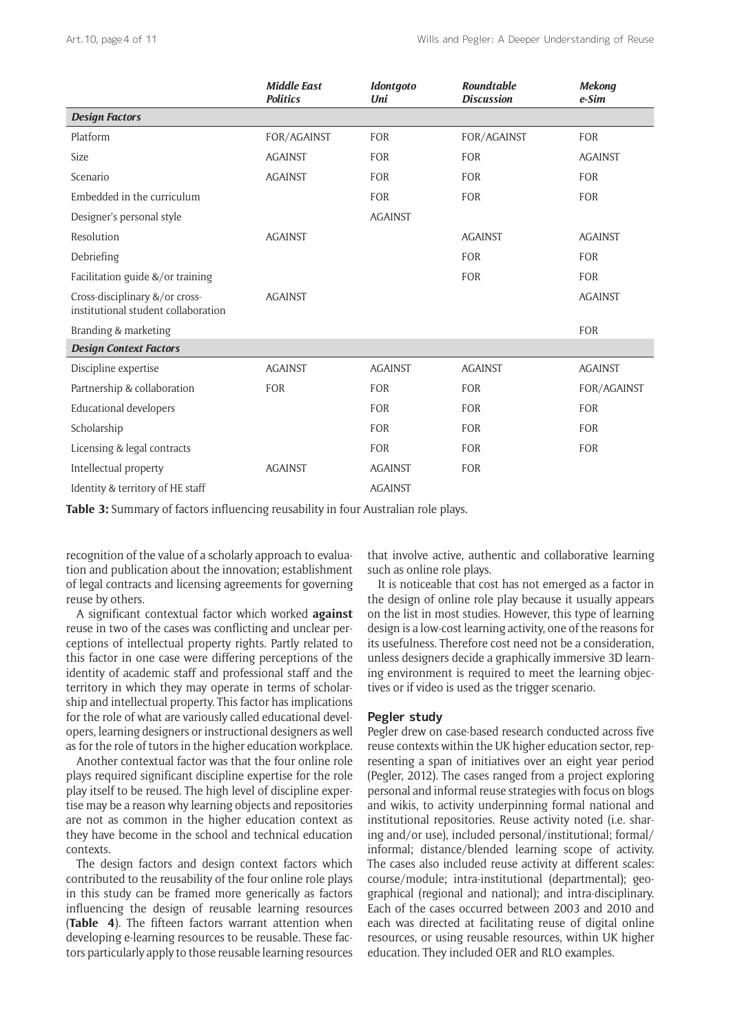|                                                                       | <b>Middle East</b><br><b>Politics</b> | <b>Idontgoto</b><br>Uni | Roundtable<br><b>Discussion</b> | <b>Mekong</b><br>$e-Sim$ |
|-----------------------------------------------------------------------|---------------------------------------|-------------------------|---------------------------------|--------------------------|
| <b>Design Factors</b>                                                 |                                       |                         |                                 |                          |
| Platform                                                              | FOR/AGAINST                           | <b>FOR</b>              | FOR/AGAINST                     | <b>FOR</b>               |
| Size                                                                  | <b>AGAINST</b>                        | <b>FOR</b>              | <b>FOR</b>                      | <b>AGAINST</b>           |
| Scenario                                                              | <b>AGAINST</b>                        | <b>FOR</b>              | <b>FOR</b>                      | <b>FOR</b>               |
| Embedded in the curriculum                                            |                                       | <b>FOR</b>              | <b>FOR</b>                      | <b>FOR</b>               |
| Designer's personal style                                             |                                       | <b>AGAINST</b>          |                                 |                          |
| Resolution                                                            | <b>AGAINST</b>                        |                         | <b>AGAINST</b>                  | <b>AGAINST</b>           |
| Debriefing                                                            |                                       |                         | <b>FOR</b>                      | <b>FOR</b>               |
| Facilitation guide &/or training                                      |                                       |                         | <b>FOR</b>                      | <b>FOR</b>               |
| Cross-disciplinary &/or cross-<br>institutional student collaboration | <b>AGAINST</b>                        |                         |                                 | <b>AGAINST</b>           |
| Branding & marketing                                                  |                                       |                         |                                 | <b>FOR</b>               |
| <b>Design Context Factors</b>                                         |                                       |                         |                                 |                          |
| Discipline expertise                                                  | <b>AGAINST</b>                        | <b>AGAINST</b>          | <b>AGAINST</b>                  | <b>AGAINST</b>           |
| Partnership & collaboration                                           | <b>FOR</b>                            | <b>FOR</b>              | <b>FOR</b>                      | FOR/AGAINST              |
| <b>Educational developers</b>                                         |                                       | <b>FOR</b>              | <b>FOR</b>                      | <b>FOR</b>               |
| Scholarship                                                           |                                       | <b>FOR</b>              | <b>FOR</b>                      | <b>FOR</b>               |
| Licensing & legal contracts                                           |                                       | <b>FOR</b>              | <b>FOR</b>                      | <b>FOR</b>               |
| Intellectual property                                                 | <b>AGAINST</b>                        | <b>AGAINST</b>          | <b>FOR</b>                      |                          |
| Identity & territory of HE staff                                      |                                       | <b>AGAINST</b>          |                                 |                          |

**Table 3:** Summary of factors influencing reusability in four Australian role plays.

recognition of the value of a scholarly approach to evaluation and publication about the innovation; establishment of legal contracts and licensing agreements for governing reuse by others.

A significant contextual factor which worked **against** reuse in two of the cases was conflicting and unclear perceptions of intellectual property rights. Partly related to this factor in one case were differing perceptions of the identity of academic staff and professional staff and the territory in which they may operate in terms of scholarship and intellectual property. This factor has implications for the role of what are variously called educational developers, learning designers or instructional designers as well as for the role of tutors in the higher education workplace.

Another contextual factor was that the four online role plays required significant discipline expertise for the role play itself to be reused. The high level of discipline expertise may be a reason why learning objects and repositories are not as common in the higher education context as they have become in the school and technical education contexts.

The design factors and design context factors which contributed to the reusability of the four online role plays in this study can be framed more generically as factors influencing the design of reusable learning resources (**Table 4**). The fifteen factors warrant attention when developing e-learning resources to be reusable. These factors particularly apply to those reusable learning resources

that involve active, authentic and collaborative learning such as online role plays.

It is noticeable that cost has not emerged as a factor in the design of online role play because it usually appears on the list in most studies. However, this type of learning design is a low-cost learning activity, one of the reasons for its usefulness. Therefore cost need not be a consideration, unless designers decide a graphically immersive 3D learning environment is required to meet the learning objectives or if video is used as the trigger scenario.

# **Pegler study**

Pegler drew on case-based research conducted across five reuse contexts within the UK higher education sector, representing a span of initiatives over an eight year period (Pegler, 2012). The cases ranged from a project exploring personal and informal reuse strategies with focus on blogs and wikis, to activity underpinning formal national and institutional repositories. Reuse activity noted (i.e. sharing and/or use), included personal/institutional; formal/ informal; distance/blended learning scope of activity. The cases also included reuse activity at different scales: course/module; intra-institutional (departmental); geographical (regional and national); and intra-disciplinary. Each of the cases occurred between 2003 and 2010 and each was directed at facilitating reuse of digital online resources, or using reusable resources, within UK higher education. They included OER and RLO examples.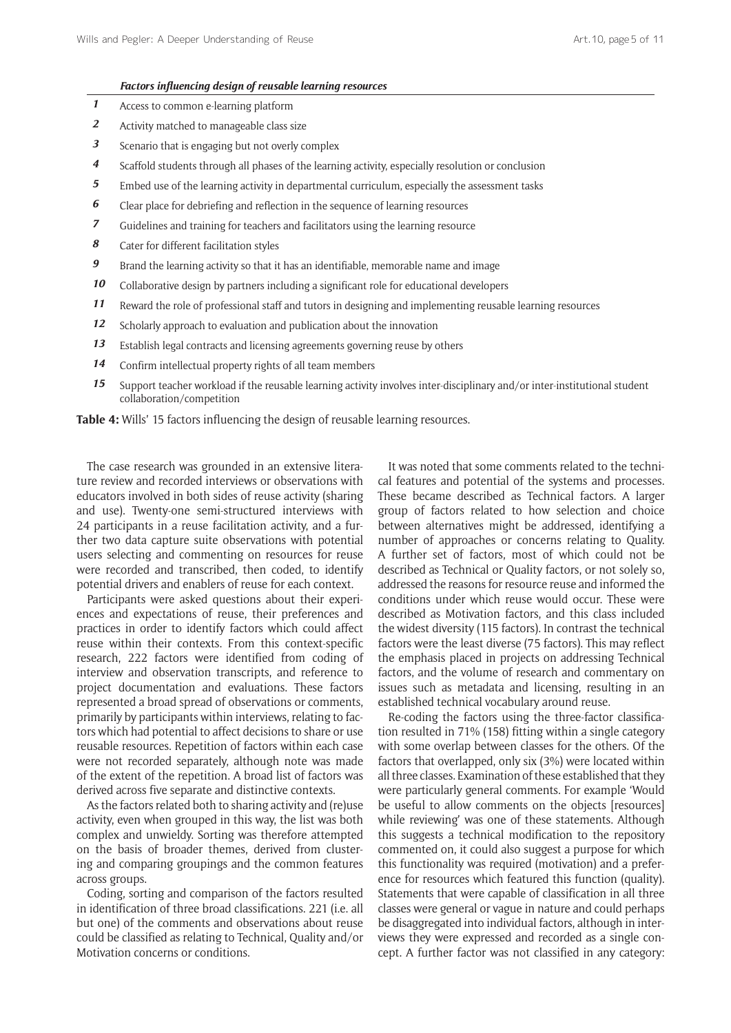#### *Factors influencing design of reusable learning resources*

- *1* Access to common e-learning platform
- *2* Activity matched to manageable class size
- *3* Scenario that is engaging but not overly complex
- *4* Scaffold students through all phases of the learning activity, especially resolution or conclusion
- *5* Embed use of the learning activity in departmental curriculum, especially the assessment tasks
- *6* Clear place for debriefing and reflection in the sequence of learning resources
- *7* Guidelines and training for teachers and facilitators using the learning resource
- *8* Cater for different facilitation styles
- *9* Brand the learning activity so that it has an identifiable, memorable name and image
- 10 Collaborative design by partners including a significant role for educational developers
- *11* Reward the role of professional staff and tutors in designing and implementing reusable learning resources
- *12* Scholarly approach to evaluation and publication about the innovation
- *13* Establish legal contracts and licensing agreements governing reuse by others
- *14* Confirm intellectual property rights of all team members
- *15* Support teacher workload if the reusable learning activity involves inter-disciplinary and/or inter-institutional student collaboration/competition

**Table 4:** Wills' 15 factors influencing the design of reusable learning resources.

The case research was grounded in an extensive literature review and recorded interviews or observations with educators involved in both sides of reuse activity (sharing and use). Twenty-one semi-structured interviews with 24 participants in a reuse facilitation activity, and a further two data capture suite observations with potential users selecting and commenting on resources for reuse were recorded and transcribed, then coded, to identify potential drivers and enablers of reuse for each context.

Participants were asked questions about their experiences and expectations of reuse, their preferences and practices in order to identify factors which could affect reuse within their contexts. From this context-specific research, 222 factors were identified from coding of interview and observation transcripts, and reference to project documentation and evaluations. These factors represented a broad spread of observations or comments, primarily by participants within interviews, relating to factors which had potential to affect decisions to share or use reusable resources. Repetition of factors within each case were not recorded separately, although note was made of the extent of the repetition. A broad list of factors was derived across five separate and distinctive contexts.

As the factors related both to sharing activity and (re)use activity, even when grouped in this way, the list was both complex and unwieldy. Sorting was therefore attempted on the basis of broader themes, derived from clustering and comparing groupings and the common features across groups.

Coding, sorting and comparison of the factors resulted in identification of three broad classifications. 221 (i.e. all but one) of the comments and observations about reuse could be classified as relating to Technical, Quality and/or Motivation concerns or conditions.

It was noted that some comments related to the technical features and potential of the systems and processes. These became described as Technical factors. A larger group of factors related to how selection and choice between alternatives might be addressed, identifying a number of approaches or concerns relating to Quality. A further set of factors, most of which could not be described as Technical or Quality factors, or not solely so, addressed the reasons for resource reuse and informed the conditions under which reuse would occur. These were described as Motivation factors, and this class included the widest diversity (115 factors). In contrast the technical factors were the least diverse (75 factors). This may reflect the emphasis placed in projects on addressing Technical factors, and the volume of research and commentary on issues such as metadata and licensing, resulting in an established technical vocabulary around reuse.

Re-coding the factors using the three-factor classification resulted in 71% (158) fitting within a single category with some overlap between classes for the others. Of the factors that overlapped, only six (3%) were located within all three classes. Examination of these established that they were particularly general comments. For example 'Would be useful to allow comments on the objects [resources] while reviewing' was one of these statements. Although this suggests a technical modification to the repository commented on, it could also suggest a purpose for which this functionality was required (motivation) and a preference for resources which featured this function (quality). Statements that were capable of classification in all three classes were general or vague in nature and could perhaps be disaggregated into individual factors, although in interviews they were expressed and recorded as a single concept. A further factor was not classified in any category: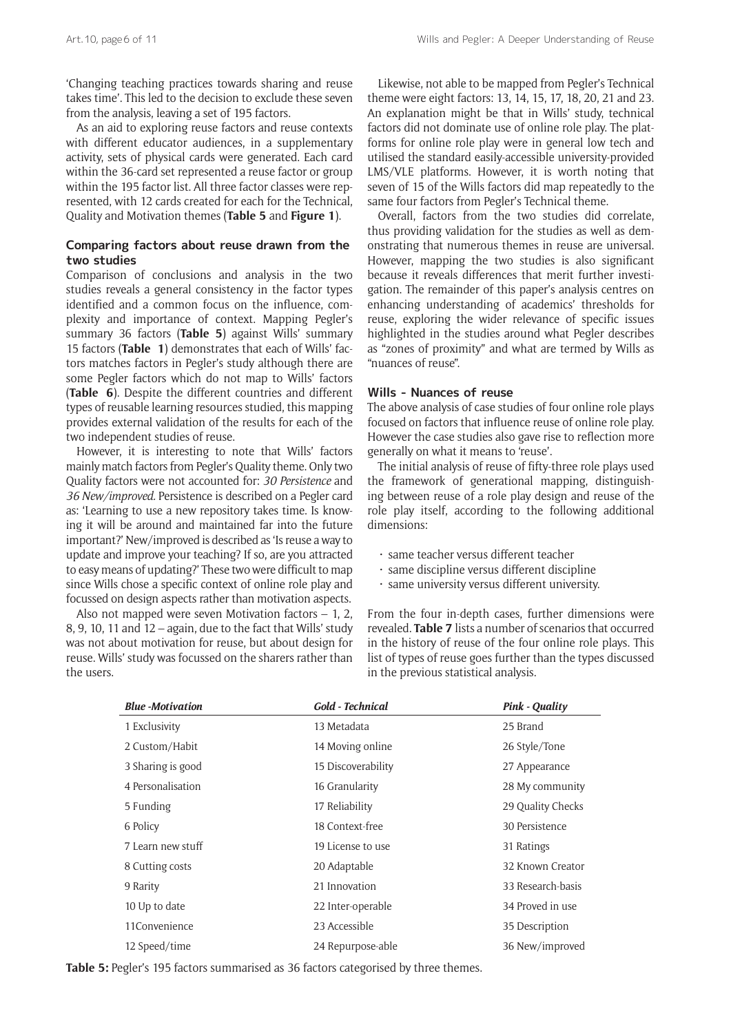'Changing teaching practices towards sharing and reuse takes time'. This led to the decision to exclude these seven from the analysis, leaving a set of 195 factors.

As an aid to exploring reuse factors and reuse contexts with different educator audiences, in a supplementary activity, sets of physical cards were generated. Each card within the 36-card set represented a reuse factor or group within the 195 factor list. All three factor classes were represented, with 12 cards created for each for the Technical, Quality and Motivation themes (**Table 5** and **Figure 1**).

# **Comparing factors about reuse drawn from the two studies**

Comparison of conclusions and analysis in the two studies reveals a general consistency in the factor types identified and a common focus on the influence, complexity and importance of context. Mapping Pegler's summary 36 factors (**Table 5**) against Wills' summary 15 factors (**Table 1**) demonstrates that each of Wills' factors matches factors in Pegler's study although there are some Pegler factors which do not map to Wills' factors (**Table 6**). Despite the different countries and different types of reusable learning resources studied, this mapping provides external validation of the results for each of the two independent studies of reuse.

However, it is interesting to note that Wills' factors mainly match factors from Pegler's Quality theme. Only two Quality factors were not accounted for: *30 Persistence* and *36 New/improved.* Persistence is described on a Pegler card as: 'Learning to use a new repository takes time. Is knowing it will be around and maintained far into the future important?' New/improved is described as 'Is reuse a way to update and improve your teaching? If so, are you attracted to easy means of updating?' These two were difficult to map since Wills chose a specific context of online role play and focussed on design aspects rather than motivation aspects.

Also not mapped were seven Motivation factors – 1, 2, 8, 9, 10, 11 and 12 – again, due to the fact that Wills' study was not about motivation for reuse, but about design for reuse. Wills' study was focussed on the sharers rather than the users.

Likewise, not able to be mapped from Pegler's Technical theme were eight factors: 13, 14, 15, 17, 18, 20, 21 and 23. An explanation might be that in Wills' study, technical factors did not dominate use of online role play. The platforms for online role play were in general low tech and utilised the standard easily-accessible university-provided LMS/VLE platforms. However, it is worth noting that seven of 15 of the Wills factors did map repeatedly to the same four factors from Pegler's Technical theme.

Overall, factors from the two studies did correlate, thus providing validation for the studies as well as demonstrating that numerous themes in reuse are universal. However, mapping the two studies is also significant because it reveals differences that merit further investigation. The remainder of this paper's analysis centres on enhancing understanding of academics' thresholds for reuse, exploring the wider relevance of specific issues highlighted in the studies around what Pegler describes as "zones of proximity" and what are termed by Wills as "nuances of reuse".

### **Wills - Nuances of reuse**

The above analysis of case studies of four online role plays focused on factors that influence reuse of online role play. However the case studies also gave rise to reflection more generally on what it means to 'reuse'.

The initial analysis of reuse of fifty-three role plays used the framework of generational mapping, distinguishing between reuse of a role play design and reuse of the role play itself, according to the following additional dimensions:

- same teacher versus different teacher
- same discipline versus different discipline
- same university versus different university.

From the four in-depth cases, further dimensions were revealed. **Table 7** lists a number of scenarios that occurred in the history of reuse of the four online role plays. This list of types of reuse goes further than the types discussed in the previous statistical analysis.

| <b>Blue</b> -Motivation | <b>Gold - Technical</b> | <b>Pink - Quality</b> |
|-------------------------|-------------------------|-----------------------|
| 1 Exclusivity           | 13 Metadata             | 25 Brand              |
| 2 Custom/Habit          | 14 Moving online        | 26 Style/Tone         |
| 3 Sharing is good       | 15 Discoverability      | 27 Appearance         |
| 4 Personalisation       | 16 Granularity          | 28 My community       |
| 5 Funding               | 17 Reliability          | 29 Quality Checks     |
| 6 Policy                | 18 Context-free         | 30 Persistence        |
| 7 Learn new stuff       | 19 License to use       | 31 Ratings            |
| 8 Cutting costs         | 20 Adaptable            | 32 Known Creator      |
| 9 Rarity                | 21 Innovation           | 33 Research-basis     |
| 10 Up to date           | 22 Inter-operable       | 34 Proved in use      |
| 11Convenience           | 23 Accessible           | 35 Description        |
| 12 Speed/time           | 24 Repurpose-able       | 36 New/improved       |

**Table 5:** Pegler's 195 factors summarised as 36 factors categorised by three themes.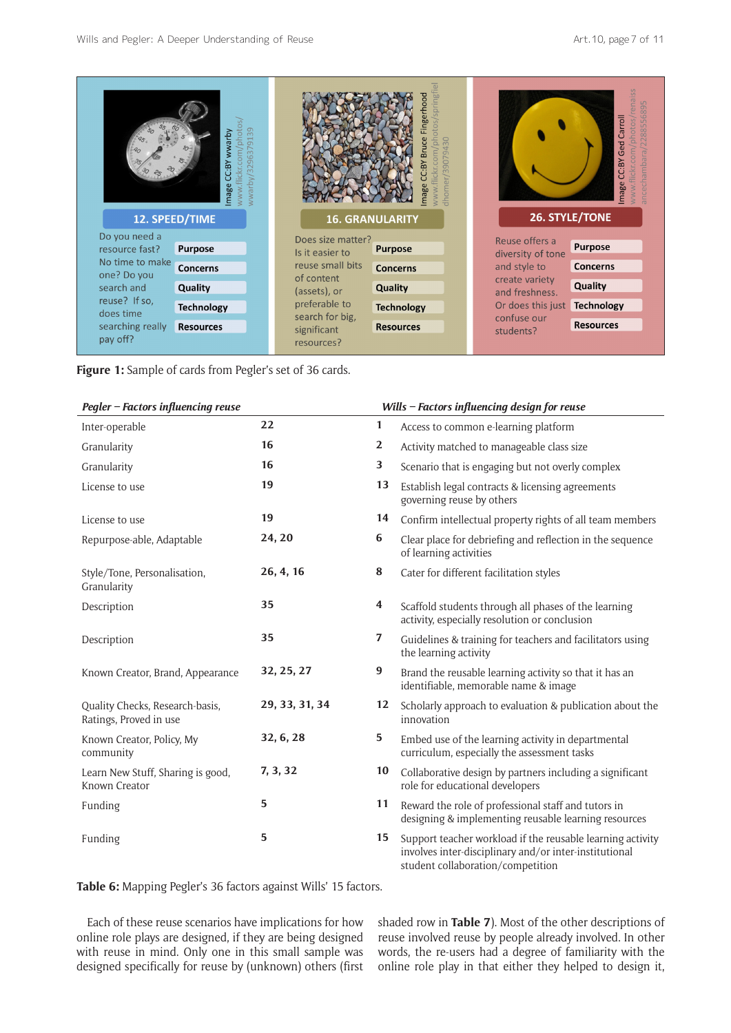|                                | 39<br>phote<br>wwarby<br>791<br>6<br>ρą<br>C:BY<br>mage |                            | springfie<br>hood<br>ngert<br>photos,<br>39079430<br>lickr.com,<br>dhomer |                                  | arroll            |  |
|--------------------------------|---------------------------------------------------------|----------------------------|---------------------------------------------------------------------------|----------------------------------|-------------------|--|
|                                | 12. SPEED/TIME                                          | <b>16. GRANULARITY</b>     |                                                                           | <b>26. STYLE/TONE</b>            |                   |  |
| Do you need a                  |                                                         | Does size matter?          |                                                                           | Reuse offers a                   | <b>Purpose</b>    |  |
| resource fast?                 | <b>Purpose</b>                                          | Is it easier to            | <b>Purpose</b>                                                            | diversity of tone                |                   |  |
| No time to make<br>one? Do you | <b>Concerns</b>                                         | reuse small bits           | <b>Concerns</b>                                                           | and style to                     | <b>Concerns</b>   |  |
| search and                     | Quality                                                 | of content<br>(assets), or | Quality                                                                   | create variety<br>and freshness. | Quality           |  |
| reuse? If so,                  | <b>Technology</b>                                       | preferable to              | <b>Technology</b>                                                         | Or does this just                | <b>Technology</b> |  |
| does time                      |                                                         | search for big,            |                                                                           | confuse our                      |                   |  |
| searching really               | <b>Resources</b>                                        | significant                | <b>Resources</b>                                                          | students?                        | <b>Resources</b>  |  |
| pay off?                       |                                                         | resources?                 |                                                                           |                                  |                   |  |

**Figure 1:** Sample of cards from Pegler's set of 36 cards.

| Pegler – Factors influencing reuse |  |  |
|------------------------------------|--|--|
|------------------------------------|--|--|

| Pegler – Factors influencing reuse                        |                |                  | Wills – Factors influencing design for reuse                                                                                                              |
|-----------------------------------------------------------|----------------|------------------|-----------------------------------------------------------------------------------------------------------------------------------------------------------|
| Inter-operable                                            | 22             | 1                | Access to common e-learning platform                                                                                                                      |
| Granularity                                               | 16             | $\mathbf{2}$     | Activity matched to manageable class size                                                                                                                 |
| Granularity                                               | 16             | 3                | Scenario that is engaging but not overly complex                                                                                                          |
| License to use                                            | 19             | 13               | Establish legal contracts & licensing agreements<br>governing reuse by others                                                                             |
| License to use                                            | 19             | 14               | Confirm intellectual property rights of all team members                                                                                                  |
| Repurpose-able, Adaptable                                 | 24, 20         | 6                | Clear place for debriefing and reflection in the sequence<br>of learning activities                                                                       |
| Style/Tone, Personalisation,<br>Granularity               | 26, 4, 16      | 8                | Cater for different facilitation styles                                                                                                                   |
| Description                                               | 35             | 4                | Scaffold students through all phases of the learning<br>activity, especially resolution or conclusion                                                     |
| Description                                               | 35             | 7                | Guidelines & training for teachers and facilitators using<br>the learning activity                                                                        |
| Known Creator, Brand, Appearance                          | 32, 25, 27     | $\boldsymbol{9}$ | Brand the reusable learning activity so that it has an<br>identifiable, memorable name & image                                                            |
| Quality Checks, Research-basis,<br>Ratings, Proved in use | 29, 33, 31, 34 | 12               | Scholarly approach to evaluation & publication about the<br>innovation                                                                                    |
| Known Creator, Policy, My<br>community                    | 32, 6, 28      | 5                | Embed use of the learning activity in departmental<br>curriculum, especially the assessment tasks                                                         |
| Learn New Stuff, Sharing is good,<br>Known Creator        | 7, 3, 32       | 10               | Collaborative design by partners including a significant<br>role for educational developers                                                               |
| Funding                                                   | 5              | 11               | Reward the role of professional staff and tutors in<br>designing & implementing reusable learning resources                                               |
| Funding                                                   | 5              | 15               | Support teacher workload if the reusable learning activity<br>involves inter-disciplinary and/or inter-institutional<br>student collaboration/competition |

**Table 6:** Mapping Pegler's 36 factors against Wills' 15 factors.

Each of these reuse scenarios have implications for how online role plays are designed, if they are being designed with reuse in mind. Only one in this small sample was designed specifically for reuse by (unknown) others (first shaded row in **Table 7**). Most of the other descriptions of reuse involved reuse by people already involved. In other words, the re-users had a degree of familiarity with the online role play in that either they helped to design it,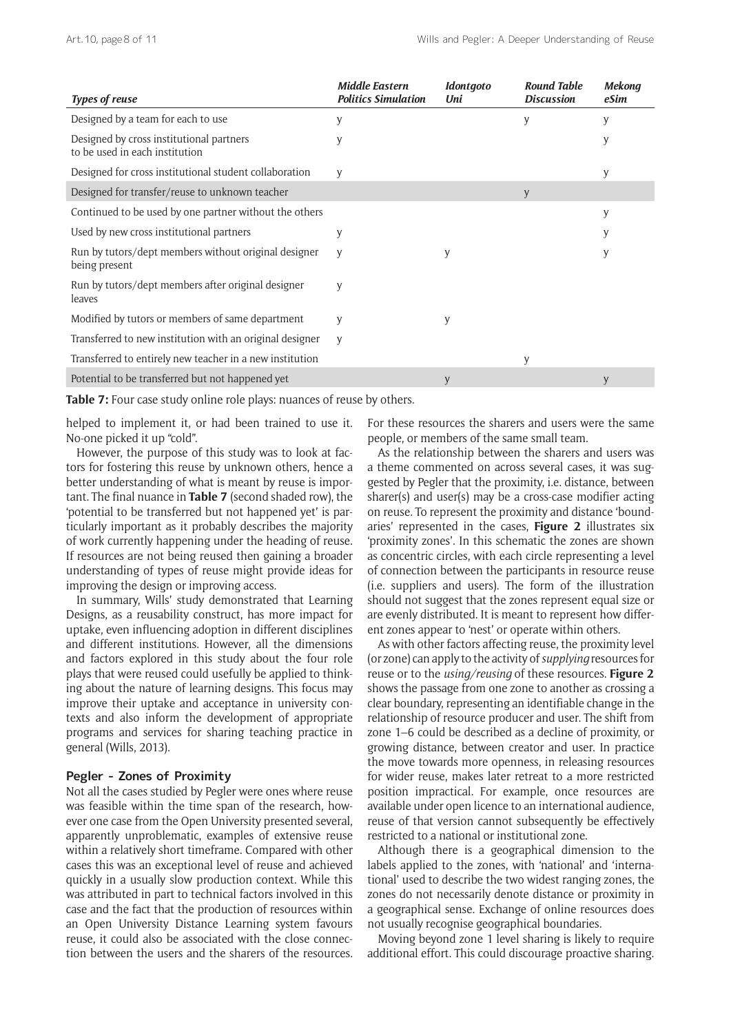| <b>Types of reuse</b>                                                      | <b>Middle Eastern</b><br><b>Politics Simulation</b> | Idontgoto<br>Uni | <b>Round Table</b><br><b>Discussion</b> | <b>Mekong</b><br>eSim |
|----------------------------------------------------------------------------|-----------------------------------------------------|------------------|-----------------------------------------|-----------------------|
| Designed by a team for each to use                                         | y                                                   |                  | y                                       | у                     |
| Designed by cross institutional partners<br>to be used in each institution | y                                                   |                  |                                         | y                     |
| Designed for cross institutional student collaboration                     | y                                                   |                  |                                         | y                     |
| Designed for transfer/reuse to unknown teacher                             |                                                     |                  | y                                       |                       |
| Continued to be used by one partner without the others                     |                                                     |                  |                                         | y                     |
| Used by new cross institutional partners                                   | y                                                   |                  |                                         | у                     |
| Run by tutors/dept members without original designer<br>being present      | y                                                   | y                |                                         | y                     |
| Run by tutors/dept members after original designer<br>leaves               | y                                                   |                  |                                         |                       |
| Modified by tutors or members of same department                           | y                                                   | y                |                                         |                       |
| Transferred to new institution with an original designer                   | y                                                   |                  |                                         |                       |
| Transferred to entirely new teacher in a new institution                   |                                                     |                  | y                                       |                       |
| Potential to be transferred but not happened yet                           |                                                     | y                |                                         | y                     |

Table 7: Four case study online role plays: nuances of reuse by others.

helped to implement it, or had been trained to use it. No-one picked it up "cold".

However, the purpose of this study was to look at factors for fostering this reuse by unknown others, hence a better understanding of what is meant by reuse is important. The final nuance in **Table 7** (second shaded row), the 'potential to be transferred but not happened yet' is particularly important as it probably describes the majority of work currently happening under the heading of reuse. If resources are not being reused then gaining a broader understanding of types of reuse might provide ideas for improving the design or improving access.

In summary, Wills' study demonstrated that Learning Designs, as a reusability construct, has more impact for uptake, even influencing adoption in different disciplines and different institutions. However, all the dimensions and factors explored in this study about the four role plays that were reused could usefully be applied to thinking about the nature of learning designs. This focus may improve their uptake and acceptance in university contexts and also inform the development of appropriate programs and services for sharing teaching practice in general (Wills, 2013).

# **Pegler - Zones of Proximity**

Not all the cases studied by Pegler were ones where reuse was feasible within the time span of the research, however one case from the Open University presented several, apparently unproblematic, examples of extensive reuse within a relatively short timeframe. Compared with other cases this was an exceptional level of reuse and achieved quickly in a usually slow production context. While this was attributed in part to technical factors involved in this case and the fact that the production of resources within an Open University Distance Learning system favours reuse, it could also be associated with the close connection between the users and the sharers of the resources. For these resources the sharers and users were the same people, or members of the same small team.

As the relationship between the sharers and users was a theme commented on across several cases, it was suggested by Pegler that the proximity, i.e. distance, between sharer(s) and user(s) may be a cross-case modifier acting on reuse. To represent the proximity and distance 'boundaries' represented in the cases, **Figure 2** illustrates six 'proximity zones'. In this schematic the zones are shown as concentric circles, with each circle representing a level of connection between the participants in resource reuse (i.e. suppliers and users). The form of the illustration should not suggest that the zones represent equal size or are evenly distributed. It is meant to represent how different zones appear to 'nest' or operate within others.

As with other factors affecting reuse, the proximity level (or zone) can apply to the activity of *supplying* resources for reuse or to the *using/reusing* of these resources. **Figure 2** shows the passage from one zone to another as crossing a clear boundary, representing an identifiable change in the relationship of resource producer and user. The shift from zone 1–6 could be described as a decline of proximity, or growing distance, between creator and user. In practice the move towards more openness, in releasing resources for wider reuse, makes later retreat to a more restricted position impractical. For example, once resources are available under open licence to an international audience, reuse of that version cannot subsequently be effectively restricted to a national or institutional zone.

Although there is a geographical dimension to the labels applied to the zones, with 'national' and 'international' used to describe the two widest ranging zones, the zones do not necessarily denote distance or proximity in a geographical sense. Exchange of online resources does not usually recognise geographical boundaries.

Moving beyond zone 1 level sharing is likely to require additional effort. This could discourage proactive sharing.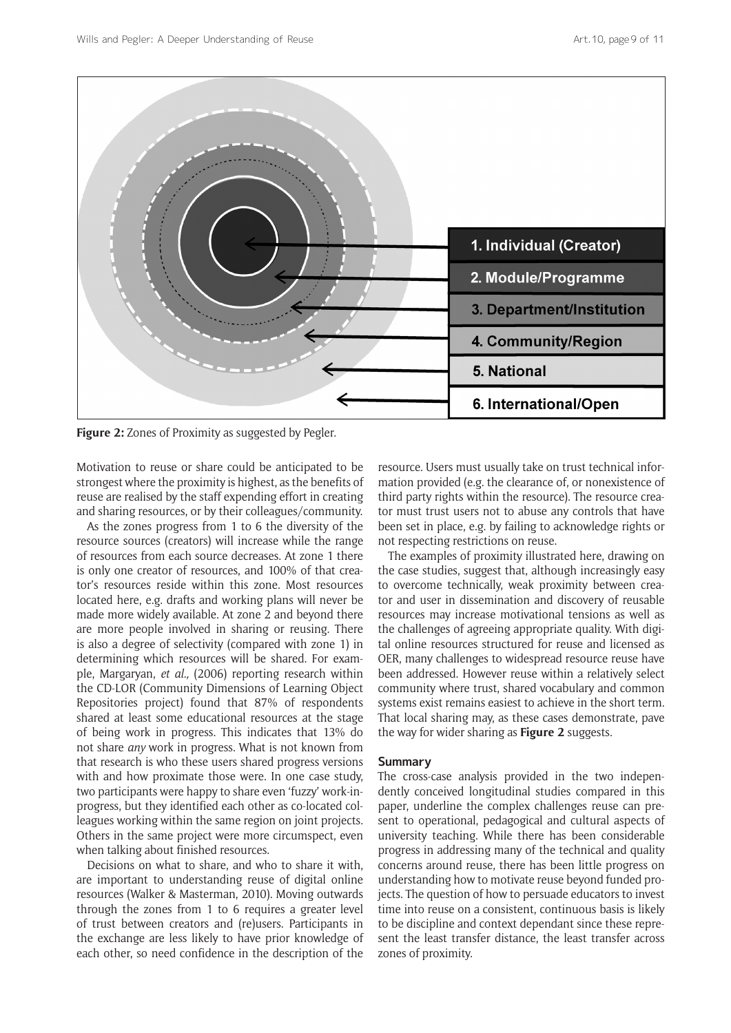

**Figure 2:** Zones of Proximity as suggested by Pegler.

Motivation to reuse or share could be anticipated to be strongest where the proximity is highest, as the benefits of reuse are realised by the staff expending effort in creating and sharing resources, or by their colleagues/community.

As the zones progress from 1 to 6 the diversity of the resource sources (creators) will increase while the range of resources from each source decreases. At zone 1 there is only one creator of resources, and 100% of that creator's resources reside within this zone. Most resources located here, e.g. drafts and working plans will never be made more widely available. At zone 2 and beyond there are more people involved in sharing or reusing. There is also a degree of selectivity (compared with zone 1) in determining which resources will be shared. For example, Margaryan, *et al.,* (2006) reporting research within the CD-LOR (Community Dimensions of Learning Object Repositories project) found that 87% of respondents shared at least some educational resources at the stage of being work in progress. This indicates that 13% do not share *any* work in progress. What is not known from that research is who these users shared progress versions with and how proximate those were. In one case study, two participants were happy to share even 'fuzzy' work-inprogress, but they identified each other as co-located colleagues working within the same region on joint projects. Others in the same project were more circumspect, even when talking about finished resources.

Decisions on what to share, and who to share it with, are important to understanding reuse of digital online resources (Walker & Masterman, 2010). Moving outwards through the zones from 1 to 6 requires a greater level of trust between creators and (re)users. Participants in the exchange are less likely to have prior knowledge of each other, so need confidence in the description of the resource. Users must usually take on trust technical information provided (e.g. the clearance of, or nonexistence of third party rights within the resource). The resource creator must trust users not to abuse any controls that have been set in place, e.g. by failing to acknowledge rights or not respecting restrictions on reuse.

The examples of proximity illustrated here, drawing on the case studies, suggest that, although increasingly easy to overcome technically, weak proximity between creator and user in dissemination and discovery of reusable resources may increase motivational tensions as well as the challenges of agreeing appropriate quality. With digital online resources structured for reuse and licensed as OER, many challenges to widespread resource reuse have been addressed. However reuse within a relatively select community where trust, shared vocabulary and common systems exist remains easiest to achieve in the short term. That local sharing may, as these cases demonstrate, pave the way for wider sharing as **Figure 2** suggests.

## **Summary**

The cross-case analysis provided in the two independently conceived longitudinal studies compared in this paper, underline the complex challenges reuse can present to operational, pedagogical and cultural aspects of university teaching. While there has been considerable progress in addressing many of the technical and quality concerns around reuse, there has been little progress on understanding how to motivate reuse beyond funded projects. The question of how to persuade educators to invest time into reuse on a consistent, continuous basis is likely to be discipline and context dependant since these represent the least transfer distance, the least transfer across zones of proximity.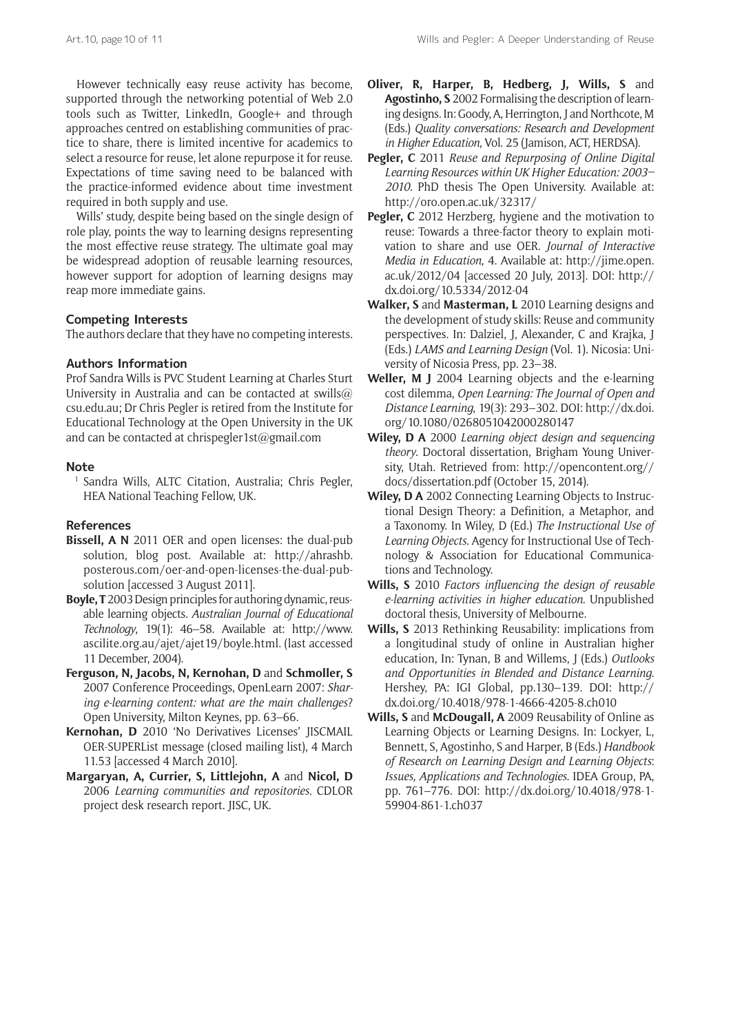However technically easy reuse activity has become, supported through the networking potential of Web 2.0 tools such as Twitter, LinkedIn, Google+ and through approaches centred on establishing communities of practice to share, there is limited incentive for academics to select a resource for reuse, let alone repurpose it for reuse. Expectations of time saving need to be balanced with the practice-informed evidence about time investment required in both supply and use.

Wills' study, despite being based on the single design of role play, points the way to learning designs representing the most effective reuse strategy. The ultimate goal may be widespread adoption of reusable learning resources, however support for adoption of learning designs may reap more immediate gains.

# **Competing Interests**

The authors declare that they have no competing interests.

#### **Authors Information**

Prof Sandra Wills is PVC Student Learning at Charles Sturt University in Australia and can be contacted at [swills@](mailto:swills@csu.edu.au) [csu.edu.au;](mailto:swills@csu.edu.au) Dr Chris Pegler is retired from the Institute for Educational Technology at the Open University in the UK and can be contacted at [chrispegler1st@gmail.com](mailto:chrispegler1st@gmail.com)

#### **Note**

<sup>1</sup> Sandra Wills, ALTC Citation, Australia; Chris Pegler, HEA National Teaching Fellow, UK.

### **References**

- **Bissell, A N** 2011 OER and open licenses: the dual-pub solution, blog post. Available at: [http://ahrashb.](http://ahrashb.posterous.com/oer-and-open-licenses-the-dual-pub-solution) [posterous.com/oer-and-open-licenses-the-dual-pub](http://ahrashb.posterous.com/oer-and-open-licenses-the-dual-pub-solution)[solution](http://ahrashb.posterous.com/oer-and-open-licenses-the-dual-pub-solution) [accessed 3 August 2011].
- **Boyle, T** 2003 Design principles for authoring dynamic, reusable learning objects*. Australian Journal of Educational Technology*, 19(1): 46–58. Available at: [http://www.](http://www.ascilite.org.au/ajet/ajet19/boyle.html) [ascilite.org.au/ajet/ajet19/boyle.html.](http://www.ascilite.org.au/ajet/ajet19/boyle.html) (last accessed 11 December, 2004).
- **Ferguson, N, Jacobs, N, Kernohan, D** and **Schmoller, S** 2007 Conference Proceedings, OpenLearn 2007: *Sharing e-learning content: what are the main challenges*? Open University, Milton Keynes, pp. 63–66.
- **Kernohan, D** 2010 'No Derivatives Licenses' JISCMAIL OER-SUPERList message (closed mailing list), 4 March 11.53 [accessed 4 March 2010].
- **Margaryan, A, Currier, S, Littlejohn, A** and **Nicol, D** 2006 *Learning communities and repositories*. CDLOR project desk research report. JISC, UK.
- **Oliver, R, Harper, B, Hedberg, J, Wills, S** and **Agostinho, S** 2002 Formalising the description of learning designs. In: Goody, A, Herrington, J and Northcote, M (Eds.) *Quality conversations: Research and Development in Higher Education*, Vol. 25 (Jamison, ACT, HERDSA).
- **Pegler, C** 2011 *Reuse and Repurposing of Online Digital Learning Resources within UK Higher Education: 2003– 2010.* PhD thesis The Open University. Available at: <http://oro.open.ac.uk/32317/>
- Pegler, C 2012 Herzberg, hygiene and the motivation to reuse: Towards a three-factor theory to explain motivation to share and use OER. *Journal of Interactive Media in Education*, 4. Available at: [http://jime.open.](http://jime.open.ac.uk/2012/04) [ac.uk/2012/04](http://jime.open.ac.uk/2012/04) [accessed 20 July, 2013]. DOI: [http://](http://dx.doi.org/10.5334/2012-04) [dx.doi.org/10.5334/2012-04](http://dx.doi.org/10.5334/2012-04)
- **Walker, S** and **Masterman, L** 2010 Learning designs and the development of study skills: Reuse and community perspectives. In: Dalziel, J, Alexander, C and Krajka, J (Eds.) *LAMS and Learning Design* (Vol. 1). Nicosia: University of Nicosia Press, pp. 23–38.
- **Weller, M J** 2004 Learning objects and the e-learning cost dilemma, *Open Learning: The Journal of Open and Distance Learning*, 19(3): 293–302. DOI: [http://dx.doi.](http://dx.doi.org/10.1080/0268051042000280147) [org/10.1080/0268051042000280147](http://dx.doi.org/10.1080/0268051042000280147)
- **Wiley, D A** 2000 *Learning object design and sequencing theory*. Doctoral dissertation, Brigham Young University, Utah. Retrieved from: [http://opencontent.org//](http://opencontent.org//docs/dissertation.pdf) [docs/dissertation.pdf](http://opencontent.org//docs/dissertation.pdf) (October 15, 2014).
- **Wiley, D A** 2002 Connecting Learning Objects to Instructional Design Theory: a Definition, a Metaphor, and a Taxonomy. In Wiley, D (Ed.) *The Instructional Use of Learning Objects*. Agency for Instructional Use of Technology & Association for Educational Communications and Technology.
- **Wills, S** 2010 *Factors influencing the design of reusable e-learning activities in higher education*. Unpublished doctoral thesis, University of Melbourne.
- **Wills, S** 2013 Rethinking Reusability: implications from a longitudinal study of online in Australian higher education, In: Tynan, B and Willems, J (Eds.) *Outlooks and Opportunities in Blended and Distance Learning*. Hershey, PA: IGI Global, pp.130–139. DOI: [http://](http://dx.doi.org/10.4018/978-1-4666-4205-8.ch010) [dx.doi.org/10.4018/978-1-4666-4205-8.ch010](http://dx.doi.org/10.4018/978-1-4666-4205-8.ch010)
- **Wills, S** and **McDougall, A** 2009 Reusability of Online as Learning Objects or Learning Designs. In: Lockyer, L, Bennett, S, Agostinho, S and Harper, B (Eds.) *Handbook of Research on Learning Design and Learning Objects*: *Issues, Applications and Technologies*. IDEA Group, PA, pp. 761–776. DOI: [http://dx.doi.org/10.4018/978-1-](http://dx.doi.org/10.4018/978-1-59904-861-1.ch037) [59904-861-1.ch037](http://dx.doi.org/10.4018/978-1-59904-861-1.ch037)